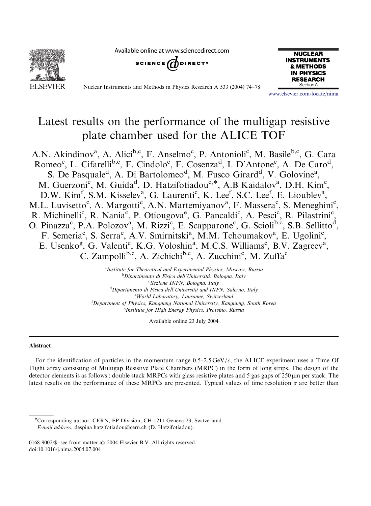Available online at www.sciencedirect.com





Nuclear Instruments and Methods in Physics Research A 533 (2004) 74–78



<www.elsevier.com/locate/nima>

# Latest results on the performance of the multigap resistive plate chamber used for the ALICE TOF

A.N. Akindinov<sup>a</sup>, A. Alici<sup>b,c</sup>, F. Anselmo<sup>c</sup>, P. Antonioli<sup>c</sup>, M. Basile<sup>b,c</sup>, G. Cara Romeo<sup>c</sup>, L. Cifarelli<sup>b,c</sup>, F. Cindolo<sup>c</sup>, F. Cosenza<sup>d</sup>, I. D'Antone<sup>c</sup>, A. De Caro<sup>d</sup>, S. De Pasquale<sup>d</sup>, A. Di Bartolomeo<sup>d</sup>, M. Fusco Girard<sup>d</sup>, V. Golovine<sup>a</sup>, M. Guerzoni<sup>c</sup>, M. Guida<sup>d</sup>, D. Hatzifotiadou<sup>c,\*</sup>, A.B Kaidalov<sup>a</sup>, D.H. Kim<sup>e</sup>, D.W. Kim<sup>f</sup>, S.M. Kisselev<sup>a</sup>, G. Laurenti<sup>c</sup>, K. Lee<sup>f</sup>, S.C. Lee<sup>f</sup>, E. Lioublev<sup>a</sup>, M.L. Luvisetto<sup>c</sup>, A. Margotti<sup>c</sup>, A.N. Martemiyanov<sup>a</sup>, F. Massera<sup>c</sup>, S. Meneghini<sup>c</sup>, R. Michinelli<sup>c</sup>, R. Nania<sup>c</sup>, P. Otiougova<sup>e</sup>, G. Pancaldi<sup>c</sup>, A. Pesci<sup>c</sup>, R. Pilastrini<sup>c</sup>, O. Pinazza<sup>c</sup>, P.A. Polozov<sup>a</sup>, M. Rizzi<sup>c</sup>, E. Scapparone<sup>c</sup>, G. Scioli<sup>b,c</sup>, S.B. Sellitto<sup>d</sup>, F. Semeria<sup>c</sup>, S. Serra<sup>c</sup>, A.V. Smirnitski<sup>a</sup>, M.M. Tchoumakov<sup>a</sup>, E. Ugolini<sup>c</sup>, E. Usenko<sup>g</sup>, G. Valenti<sup>c</sup>, K.G. Voloshin<sup>a</sup>, M.C.S. Williams<sup>c</sup>, B.V. Zagreev<sup>a</sup>, C. Zampolli<sup>b,c</sup>, A. Zichichi<sup>b,c</sup>, A. Zucchini<sup>c</sup>, M. Zuffa<sup>c</sup>

> <sup>a</sup> Institute for Theoretical and Experimental Physics, Moscow, Russia **b**Dipartimento di Fisica dell'Università, Bologna, Italy <sup>c</sup> Sezione INFN, Bologna, Italy <sup>d</sup> Dipartimento di Fisica dell'Università and INFN, Salerno, Italy <sup>e</sup> World Laboratory, Lausanne, Switzerland <sup>f</sup>Department of Physics, Kangnung National University, Kangnung, South Korea <sup>g</sup>Institute for High Energy Physics, Protvino, Russia

> > Available online 23 July 2004

## Abstract

For the identification of particles in the momentum range  $0.5-2.5 \text{ GeV}/c$ , the ALICE experiment uses a Time Of Flight array consisting of Multigap Resistive Plate Chambers (MRPC) in the form of long strips. The design of the detector elements is as follows : double stack MRPCs with glass resistive plates and 5 gas gaps of  $250 \,\mu m$  per stack. The latest results on the performance of these MRPCs are presented. Typical values of time resolution  $\sigma$  are better than

Corresponding author. CERN, EP Division, CH-1211 Geneva 23, Switzerland. E-mail address: despina.hatzifotiadou@cern.ch (D. Hatzifotiadou).

<sup>0168-9002/\$ -</sup> see front matter  $\odot$  2004 Elsevier B.V. All rights reserved. doi:10.1016/j.nima.2004.07.004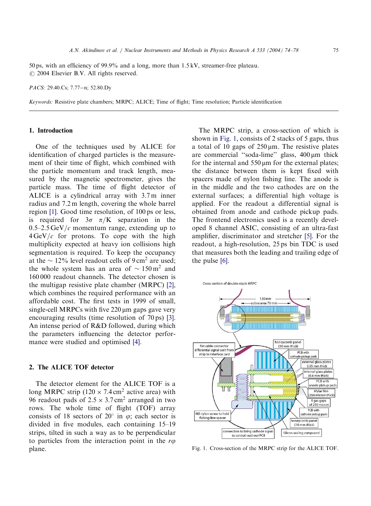50 ps, with an efficiency of 99.9% and a long, more than 1.5 kV, streamer-free plateau.  $\odot$  2004 Elsevier B.V. All rights reserved.

PACS: 29.40.Cs; 7.77-n; 52.80.Dy

Keywords: Resistive plate chambers; MRPC; ALICE; Time of flight; Time resolution; Particle identification

## 1. Introduction

One of the techniques used by ALICE for identification of charged particles is the measurement of their time of flight, which combined with the particle momentum and track length, measured by the magnetic spectrometer, gives the particle mass. The time of flight detector of ALICE is a cylindrical array with 3.7 m inner radius and 7.2 m length, covering the whole barrel region [\[1\].](#page-4-0) Good time resolution, of 100 ps or less, is required for  $3\sigma \pi/K$  separation in the  $0.5-2.5 \,\text{GeV}/c$  momentum range, extending up to  $4 \text{GeV}/c$  for protons. To cope with the high multiplicity expected at heavy ion collisions high segmentation is required. To keep the occupancy at the  $\sim$  12% level readout cells of 9 cm<sup>2</sup> are used; the whole system has an area of  $\sim 150 \,\mathrm{m}^2$  and 160 000 readout channels. The detector chosen is the multigap resistive plate chamber (MRPC) [\[2\]](#page-4-0), which combines the required performance with an affordable cost. The first tests in 1999 of small, single-cell MRPCs with five  $220 \mu m$  gaps gave very encouraging results (time resolution of 70 ps) [\[3\]](#page-4-0). An intense period of R&D followed, during which the parameters influencing the detector performance were studied and optimised [\[4\]](#page-4-0).

## 2. The ALICE TOF detector

The detector element for the ALICE TOF is a long MRPC strip  $(120 \times 7.4 \text{ cm}^2 \text{ active area})$  with 96 readout pads of  $2.5 \times 3.7 \text{ cm}^2$  arranged in two rows. The whole time of flight (TOF) array consists of 18 sectors of 20 $\degree$  in  $\varphi$ ; each sector is divided in five modules, each containing 15–19 strips, tilted in such a way as to be perpendicular to particles from the interaction point in the  $r\varphi$ plane.

The MRPC strip, a cross-section of which is shown in Fig. 1, consists of 2 stacks of 5 gaps, thus a total of 10 gaps of  $250 \,\mu \text{m}$ . The resistive plates are commercial "soda-lime" glass, 400  $\mu$ m thick for the internal and  $550 \mu m$  for the external plates; the distance between them is kept fixed with spacers made of nylon fishing line. The anode is in the middle and the two cathodes are on the external surfaces; a differential high voltage is applied. For the readout a differential signal is obtained from anode and cathode pickup pads. The frontend electronics used is a recently developed 8 channel ASIC, consisting of an ultra-fast amplifier, discriminator and stretcher [\[5\]](#page-4-0). For the readout, a high-resolution, 25 ps bin TDC is used that measures both the leading and trailing edge of the pulse [\[6\].](#page-4-0)



Fig. 1. Cross-section of the MRPC strip for the ALICE TOF.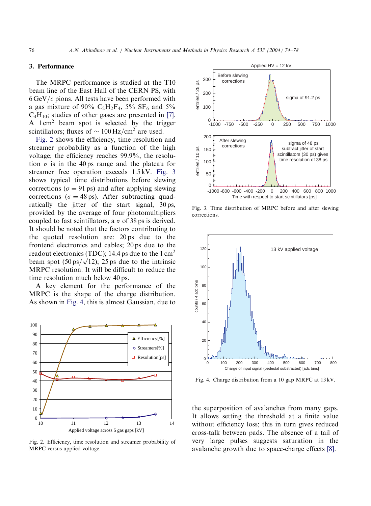## 3. Performance

The MRPC performance is studied at the T10 beam line of the East Hall of the CERN PS, with  $6 GeV/c$  pions. All tests have been performed with a gas mixture of 90%  $C_2H_2F_4$ , 5%  $SF_6$  and 5%  $C_4H_{10}$ ; studies of other gases are presented in [\[7\]](#page-4-0). A 1 cm<sup>2</sup> beam spot is selected by the trigger scintillators; fluxes of  $\sim 100 \,\mathrm{Hz/cm^2}$  are used.

Fig. 2 shows the efficiency, time resolution and streamer probability as a function of the high voltage; the efficiency reaches 99.9%, the resolution  $\sigma$  is in the 40 ps range and the plateau for streamer free operation exceeds 1.5 kV. Fig. 3 shows typical time distributions before slewing corrections ( $\sigma = 91$  ps) and after applying slewing corrections ( $\sigma = 48$  ps). After subtracting quadratically the jitter of the start signal, 30 ps, provided by the average of four photomultipliers coupled to fast scintillators, a  $\sigma$  of 38 ps is derived. It should be noted that the factors contributing to the quoted resolution are: 20 ps due to the frontend electronics and cables; 20 ps due to the readout electronics (TDC); 14.4 ps due to the  $1 \text{ cm}^2$ readout electronics (TDC); 14.4 ps due to the 1 cm-<br>beam spot (50 ps/ $\sqrt{12}$ ); 25 ps due to the intrinsic MRPC resolution. It will be difficult to reduce the time resolution much below 40 ps.

A key element for the performance of the MRPC is the shape of the charge distribution. As shown in Fig. 4, this is almost Gaussian, due to



Fig. 2. Efficiency, time resolution and streamer probability of MRPC versus applied voltage.



Fig. 3. Time distribution of MRPC before and after slewing corrections.



Fig. 4. Charge distribution from a 10 gap MRPC at 13 kV.

the superposition of avalanches from many gaps. It allows setting the threshold at a finite value without efficiency loss; this in turn gives reduced cross-talk between pads. The absence of a tail of very large pulses suggests saturation in the avalanche growth due to space-charge effects [\[8\]](#page-4-0).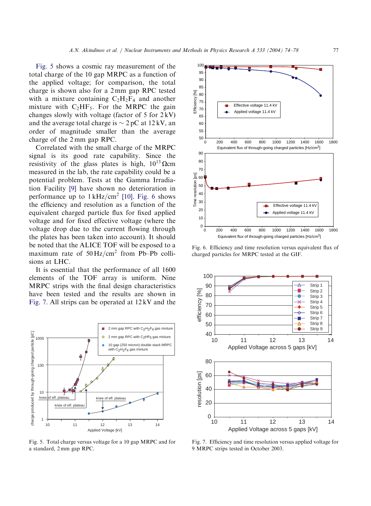Fig. 5 shows a cosmic ray measurement of the total charge of the 10 gap MRPC as a function of the applied voltage; for comparison, the total charge is shown also for a 2 mm gap RPC tested with a mixture containing  $C_2H_2F_4$  and another mixture with  $C_2HF_5$ . For the MRPC the gain changes slowly with voltage (factor of  $5$  for  $2$  kV) and the average total charge is  $\sim$  2 pC at 12 kV, an order of magnitude smaller than the average charge of the 2 mm gap RPC.

Correlated with the small charge of the MRPC signal is its good rate capability. Since the resistivity of the glass plates is high,  $10^{13} \Omega$ cm measured in the lab, the rate capability could be a potential problem. Tests at the Gamma Irradiation Facility [\[9\]](#page-4-0) have shown no deterioration in performance up to  $1 \text{ kHz/cm}^2$  [\[10\].](#page-4-0) Fig. 6 shows the efficiency and resolution as a function of the equivalent charged particle flux for fixed applied voltage and for fixed effective voltage (where the voltage drop due to the current flowing through the plates has been taken into account). It should be noted that the ALICE TOF will be exposed to a maximum rate of  $50 \text{ Hz/cm}^2$  from Pb–Pb collisions at LHC.

It is essential that the performance of all 1600 elements of the TOF array is uniform. Nine MRPC strips with the final design characteristics have been tested and the results are shown in Fig. 7. All strips can be operated at 12 kV and the



Fig. 5. Total charge versus voltage for a 10 gap MRPC and for a standard, 2 mm gap RPC.



Fig. 6. Efficiency and time resolution versus equivalent flux of charged particles for MRPC tested at the GIF.



Fig. 7. Efficiency and time resolution versus applied voltage for 9 MRPC strips tested in October 2003.